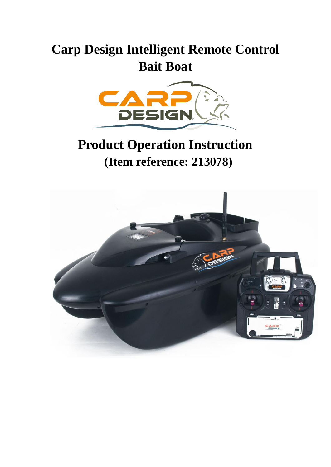# **Carp Design Intelligent Remote Control Bait Boat**



# **Product Operation Instruction (Item reference: 213078)**

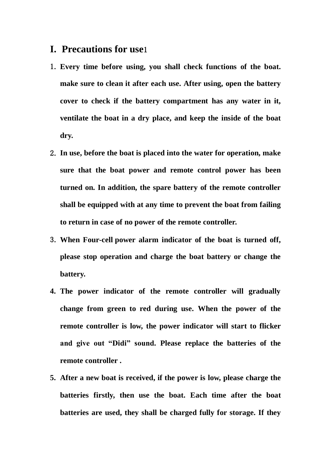#### **I. Precautions for use**1

- 1. **Every time before using, you shall check functions of the boat. make sure to clean it after each use. After using, open the battery cover to check if the battery compartment has any water in it, ventilate the boat in a dry place, and keep the inside of the boat dry.**
- 2. **In use, before the boat is placed into the water for operation, make sure that the boat power and remote control power has been turned on. In addition, the spare battery of the remote controller shall be equipped with at any time to prevent the boat from failing to return in case of no power of the remote controller.**
- 3. **When Four-cell power alarm indicator of the boat is turned off, please stop operation and charge the boat battery or change the battery.**
- **4. The power indicator of the remote controller will gradually change from green to red during use. When the power of the remote controller is low, the power indicator will start to flicker and give out "Didi" sound. Please replace the batteries of the remote controller .**
- **5. After a new boat is received, if the power is low, please charge the batteries firstly, then use the boat. Each time after the boat batteries are used, they shall be charged fully for storage. If they**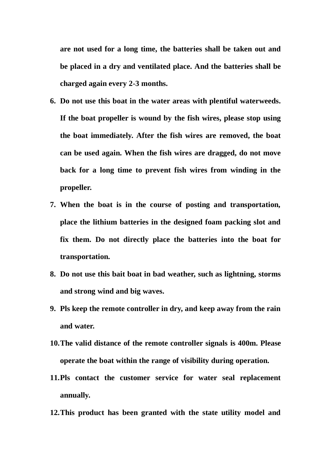**are not used for a long time, the batteries shall be taken out and be placed in a dry and ventilated place. And the batteries shall be charged again every 2-3 months.**

- **6. Do not use this boat in the water areas with plentiful waterweeds. If the boat propeller is wound by the fish wires, please stop using the boat immediately. After the fish wires are removed, the boat can be used again. When the fish wires are dragged, do not move back for a long time to prevent fish wires from winding in the propeller.**
- **7. When the boat is in the course of posting and transportation, place the lithium batteries in the designed foam packing slot and fix them. Do not directly place the batteries into the boat for transportation.**
- **8. Do not use this bait boat in bad weather, such as lightning, storms and strong wind and big waves.**
- **9. Pls keep the remote controller in dry, and keep away from the rain and water.**
- **10.The valid distance of the remote controller signals is 400m. Please operate the boat within the range of visibility during operation.**
- **11.Pls contact the customer service for water seal replacement annually.**
- **12.This product has been granted with the state utility model and**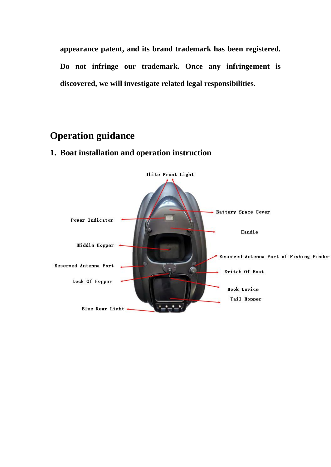**appearance patent, and its brand trademark has been registered. Do not infringe our trademark. Once any infringement is discovered, we will investigate related legal responsibilities.** 

## **Operation guidance**

### **1. Boat installation and operation instruction**